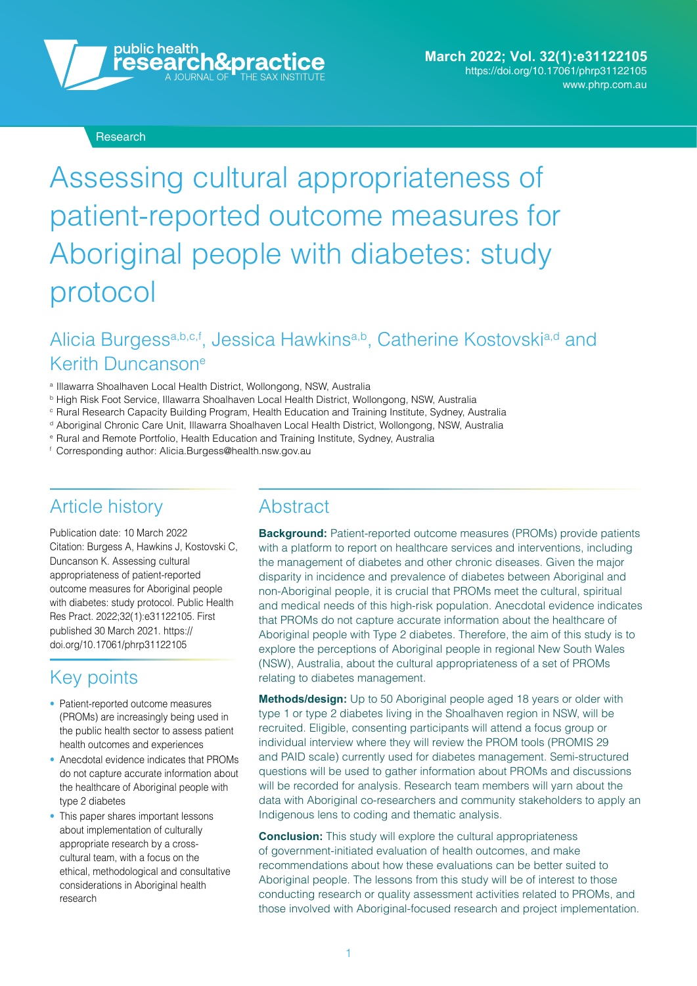

#### Research

# Assessing cultural appropriateness of patient-reported outcome measures for Aboriginal people with diabetes: study protocol

# Alicia Burgess<sup>a,b,c,f</sup>, Jessica Hawkins<sup>a,b</sup>, Catherine Kostovski<sup>a,d</sup> and Kerith Duncansone

- <sup>a</sup> Illawarra Shoalhaven Local Health District, Wollongong, NSW, Australia
- 
- <sup>b</sup> High Risk Foot Service, Illawarra Shoalhaven Local Health District, Wollongong, NSW, Australia <sup>c</sup> Rural Research Capacity Building Program, Health Education and Training Institute, Sydney, Australia
- <sup>d</sup> Aboriginal Chronic Care Unit, Illawarra Shoalhaven Local Health District, Wollongong, NSW, Australia
- <sup>e</sup> Rural and Remote Portfolio, Health Education and Training Institute, Sydney, Australia
- <sup>f</sup> Corresponding author: [Alicia.Burgess@health.nsw.gov.au](mailto:Alicia.Burgess@health.nsw.gov.au)

### Article history

Publication date: 10 March 2022 Citation: Burgess A, Hawkins J, Kostovski C, Duncanson K. Assessing cultural appropriateness of patient-reported outcome measures for Aboriginal people with diabetes: study protocol. Public Health Res Pract. 2022;32(1):e31122105. First [published 30 March 2021. https://](https://doi.org/10.17061/phrp31122105) doi.org/10.17061/phrp31122105

### Key points

- Patient-reported outcome measures (PROMs) are increasingly being used in the public health sector to assess patient health outcomes and experiences
- Anecdotal evidence indicates that PROMs do not capture accurate information about the healthcare of Aboriginal people with type 2 diabetes
- This paper shares important lessons about implementation of culturally appropriate research by a crosscultural team, with a focus on the ethical, methodological and consultative considerations in Aboriginal health research

### **Abstract**

**Background:** Patient-reported outcome measures (PROMs) provide patients with a platform to report on healthcare services and interventions, including the management of diabetes and other chronic diseases. Given the major disparity in incidence and prevalence of diabetes between Aboriginal and non-Aboriginal people, it is crucial that PROMs meet the cultural, spiritual and medical needs of this high-risk population. Anecdotal evidence indicates that PROMs do not capture accurate information about the healthcare of Aboriginal people with Type 2 diabetes. Therefore, the aim of this study is to explore the perceptions of Aboriginal people in regional New South Wales (NSW), Australia, about the cultural appropriateness of a set of PROMs relating to diabetes management.

**Methods/design:** Up to 50 Aboriginal people aged 18 years or older with type 1 or type 2 diabetes living in the Shoalhaven region in NSW, will be recruited. Eligible, consenting participants will attend a focus group or individual interview where they will review the PROM tools (PROMIS 29 and PAID scale) currently used for diabetes management. Semi-structured questions will be used to gather information about PROMs and discussions will be recorded for analysis. Research team members will yarn about the data with Aboriginal co-researchers and community stakeholders to apply an Indigenous lens to coding and thematic analysis.

**Conclusion:** This study will explore the cultural appropriateness of government-initiated evaluation of health outcomes, and make recommendations about how these evaluations can be better suited to Aboriginal people. The lessons from this study will be of interest to those conducting research or quality assessment activities related to PROMs, and those involved with Aboriginal-focused research and project implementation.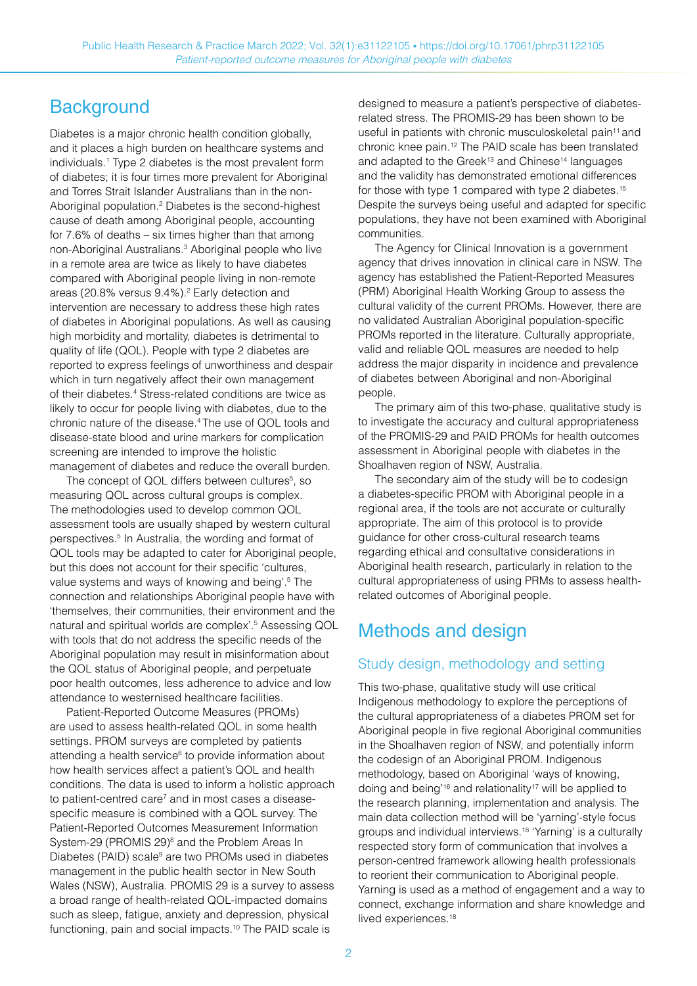### **Background**

Diabetes is a major chronic health condition globally, and it places a high burden on healthcare systems and individuals.1 Type 2 diabetes is the most prevalent form of diabetes; it is four times more prevalent for Aboriginal and Torres Strait Islander Australians than in the non-Aboriginal population.<sup>2</sup> Diabetes is the second-highest cause of death among Aboriginal people, accounting for 7.6% of deaths – six times higher than that among non-Aboriginal Australians.<sup>3</sup> Aboriginal people who live in a remote area are twice as likely to have diabetes compared with Aboriginal people living in non-remote areas (20.8% versus 9.4%).<sup>2</sup> Early detection and intervention are necessary to address these high rates of diabetes in Aboriginal populations. As well as causing high morbidity and mortality, diabetes is detrimental to quality of life (QOL). People with type 2 diabetes are reported to express feelings of unworthiness and despair which in turn negatively affect their own management of their diabetes.<sup>4</sup> Stress-related conditions are twice as likely to occur for people living with diabetes, due to the chronic nature of the disease.4 The use of QOL tools and disease-state blood and urine markers for complication screening are intended to improve the holistic management of diabetes and reduce the overall burden.

The concept of QOL differs between cultures<sup>5</sup>, so measuring QOL across cultural groups is complex. The methodologies used to develop common QOL assessment tools are usually shaped by western cultural perspectives.5 In Australia, the wording and format of QOL tools may be adapted to cater for Aboriginal people, but this does not account for their specific 'cultures, value systems and ways of knowing and being'.<sup>5</sup> The connection and relationships Aboriginal people have with 'themselves, their communities, their environment and the natural and spiritual worlds are complex'.5 Assessing QOL with tools that do not address the specific needs of the Aboriginal population may result in misinformation about the QOL status of Aboriginal people, and perpetuate poor health outcomes, less adherence to advice and low attendance to westernised healthcare facilities.

Patient-Reported Outcome Measures (PROMs) are used to assess health-related QOL in some health settings. PROM surveys are completed by patients attending a health service<sup>6</sup> to provide information about how health services affect a patient's QOL and health conditions. The data is used to inform a holistic approach to patient-centred care<sup>7</sup> and in most cases a diseasespecific measure is combined with a QOL survey. The Patient-Reported Outcomes Measurement Information System-29 (PROMIS 29)<sup>8</sup> and the Problem Areas In Diabetes (PAID) scale<sup>9</sup> are two PROMs used in diabetes management in the public health sector in New South Wales (NSW), Australia. PROMIS 29 is a survey to assess a broad range of health-related QOL-impacted domains such as sleep, fatigue, anxiety and depression, physical functioning, pain and social impacts.<sup>10</sup> The PAID scale is

designed to measure a patient's perspective of diabetesrelated stress. The PROMIS-29 has been shown to be useful in patients with chronic musculoskeletal pain<sup>11</sup> and chronic knee pain.12 The PAID scale has been translated and adapted to the Greek<sup>13</sup> and Chinese<sup>14</sup> languages and the validity has demonstrated emotional differences for those with type 1 compared with type 2 diabetes.<sup>15</sup> Despite the surveys being useful and adapted for specific populations, they have not been examined with Aboriginal communities.

The Agency for Clinical Innovation is a government agency that drives innovation in clinical care in NSW. The agency has established the Patient-Reported Measures (PRM) Aboriginal Health Working Group to assess the cultural validity of the current PROMs. However, there are no validated Australian Aboriginal population-specific PROMs reported in the literature. Culturally appropriate, valid and reliable QOL measures are needed to help address the major disparity in incidence and prevalence of diabetes between Aboriginal and non-Aboriginal people.

The primary aim of this two-phase, qualitative study is to investigate the accuracy and cultural appropriateness of the PROMIS-29 and PAID PROMs for health outcomes assessment in Aboriginal people with diabetes in the Shoalhaven region of NSW, Australia.

The secondary aim of the study will be to codesign a diabetes-specific PROM with Aboriginal people in a regional area, if the tools are not accurate or culturally appropriate. The aim of this protocol is to provide guidance for other cross-cultural research teams regarding ethical and consultative considerations in Aboriginal health research, particularly in relation to the cultural appropriateness of using PRMs to assess healthrelated outcomes of Aboriginal people.

# Methods and design

#### Study design, methodology and setting

This two-phase, qualitative study will use critical Indigenous methodology to explore the perceptions of the cultural appropriateness of a diabetes PROM set for Aboriginal people in five regional Aboriginal communities in the Shoalhaven region of NSW, and potentially inform the codesign of an Aboriginal PROM. Indigenous methodology, based on Aboriginal 'ways of knowing, doing and being<sup>'16</sup> and relationality<sup>17</sup> will be applied to the research planning, implementation and analysis. The main data collection method will be 'yarning'-style focus groups and individual interviews.18 'Yarning' is a culturally respected story form of communication that involves a person-centred framework allowing health professionals to reorient their communication to Aboriginal people. Yarning is used as a method of engagement and a way to connect, exchange information and share knowledge and lived experiences.<sup>18</sup>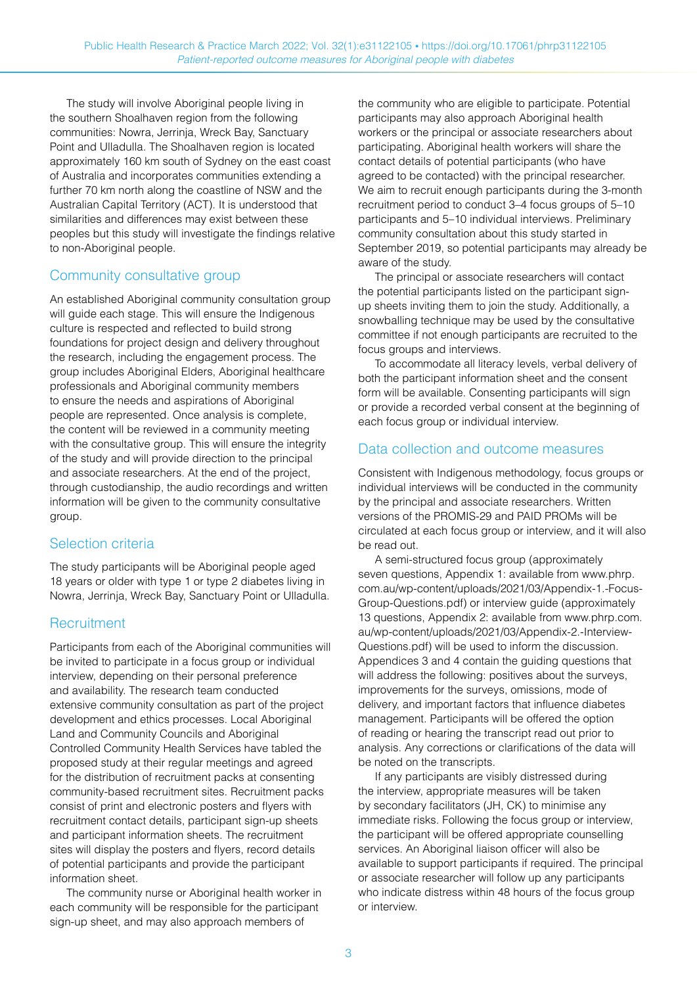The study will involve Aboriginal people living in the southern Shoalhaven region from the following communities: Nowra, Jerrinja, Wreck Bay, Sanctuary Point and Ulladulla. The Shoalhaven region is located approximately 160 km south of Sydney on the east coast of Australia and incorporates communities extending a further 70 km north along the coastline of NSW and the Australian Capital Territory (ACT). It is understood that similarities and differences may exist between these peoples but this study will investigate the findings relative to non-Aboriginal people.

#### Community consultative group

An established Aboriginal community consultation group will guide each stage. This will ensure the Indigenous culture is respected and reflected to build strong foundations for project design and delivery throughout the research, including the engagement process. The group includes Aboriginal Elders, Aboriginal healthcare professionals and Aboriginal community members to ensure the needs and aspirations of Aboriginal people are represented. Once analysis is complete, the content will be reviewed in a community meeting with the consultative group. This will ensure the integrity of the study and will provide direction to the principal and associate researchers. At the end of the project, through custodianship, the audio recordings and written information will be given to the community consultative group.

#### Selection criteria

The study participants will be Aboriginal people aged 18 years or older with type 1 or type 2 diabetes living in Nowra, Jerrinja, Wreck Bay, Sanctuary Point or Ulladulla.

#### **Recruitment**

Participants from each of the Aboriginal communities will be invited to participate in a focus group or individual interview, depending on their personal preference and availability. The research team conducted extensive community consultation as part of the project development and ethics processes. Local Aboriginal Land and Community Councils and Aboriginal Controlled Community Health Services have tabled the proposed study at their regular meetings and agreed for the distribution of recruitment packs at consenting community-based recruitment sites. Recruitment packs consist of print and electronic posters and flyers with recruitment contact details, participant sign-up sheets and participant information sheets. The recruitment sites will display the posters and flyers, record details of potential participants and provide the participant information sheet.

The community nurse or Aboriginal health worker in each community will be responsible for the participant sign-up sheet, and may also approach members of

the community who are eligible to participate. Potential participants may also approach Aboriginal health workers or the principal or associate researchers about participating. Aboriginal health workers will share the contact details of potential participants (who have agreed to be contacted) with the principal researcher. We aim to recruit enough participants during the 3-month recruitment period to conduct 3–4 focus groups of 5–10 participants and 5–10 individual interviews. Preliminary community consultation about this study started in September 2019, so potential participants may already be aware of the study.

The principal or associate researchers will contact the potential participants listed on the participant signup sheets inviting them to join the study. Additionally, a snowballing technique may be used by the consultative committee if not enough participants are recruited to the focus groups and interviews.

To accommodate all literacy levels, verbal delivery of both the participant information sheet and the consent form will be available. Consenting participants will sign or provide a recorded verbal consent at the beginning of each focus group or individual interview.

#### Data collection and outcome measures

Consistent with Indigenous methodology, focus groups or individual interviews will be conducted in the community by the principal and associate researchers. Written versions of the PROMIS-29 and PAID PROMs will be circulated at each focus group or interview, and it will also be read out.

A semi-structured focus group (approximately seven questions, Appendix 1: available from [www.phrp.](http://www.phrp.com.au/wp-content/uploads/2021/03/Appendix-1.-Focus-Group-Questions.pdf) [com.au/wp-content/uploads/2021/03/Appendix-1.-Focus-](http://www.phrp.com.au/wp-content/uploads/2021/03/Appendix-1.-Focus-Group-Questions.pdf)[Group-Questions.pdf\)](http://www.phrp.com.au/wp-content/uploads/2021/03/Appendix-1.-Focus-Group-Questions.pdf) or interview guide (approximately 13 questions, Appendix 2: available from [www.phrp.com.](http://www.phrp.com.au/wp-content/uploads/2021/03/Appendix-2.-Interview-Questions.pdf) [au/wp-content/uploads/2021/03/Appendix-2.-Interview-](http://www.phrp.com.au/wp-content/uploads/2021/03/Appendix-2.-Interview-Questions.pdf)[Questions.pdf\)](http://www.phrp.com.au/wp-content/uploads/2021/03/Appendix-2.-Interview-Questions.pdf) will be used to inform the discussion. Appendices 3 and 4 contain the guiding questions that will address the following: positives about the surveys, improvements for the surveys, omissions, mode of delivery, and important factors that influence diabetes management. Participants will be offered the option of reading or hearing the transcript read out prior to analysis. Any corrections or clarifications of the data will be noted on the transcripts.

If any participants are visibly distressed during the interview, appropriate measures will be taken by secondary facilitators (JH, CK) to minimise any immediate risks. Following the focus group or interview, the participant will be offered appropriate counselling services. An Aboriginal liaison officer will also be available to support participants if required. The principal or associate researcher will follow up any participants who indicate distress within 48 hours of the focus group or interview.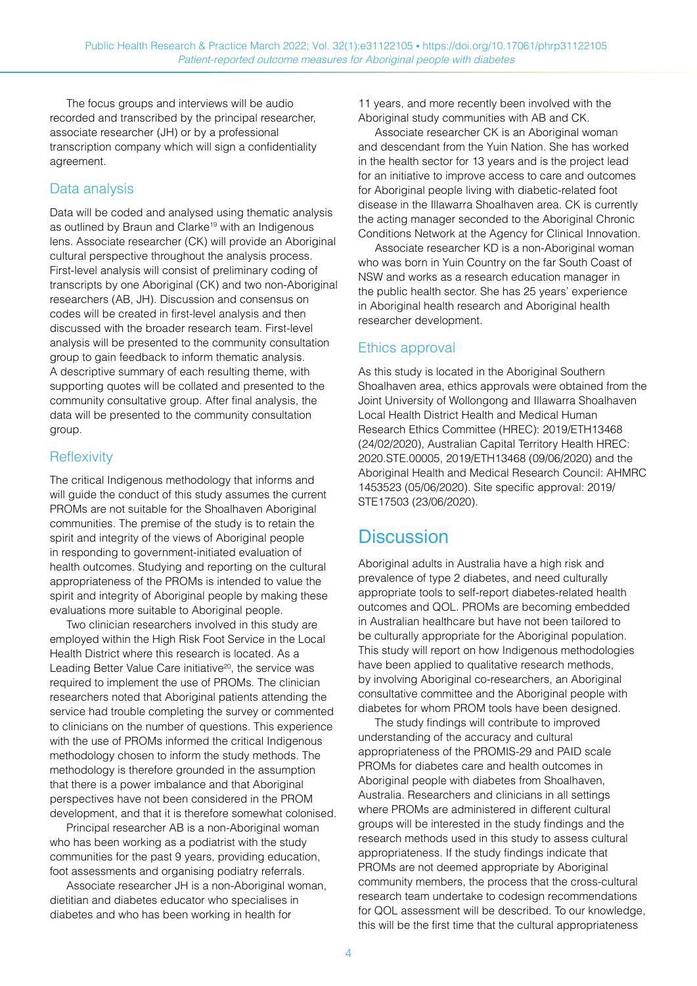The focus groups and interviews will be audio recorded and transcribed by the principal researcher, associate researcher (JH) or by a professional transcription company which will sign a confidentiality agreement.

#### Data analysis

Data will be coded and analysed using thematic analysis as outlined by Braun and Clarke<sup>19</sup> with an Indigenous lens. Associate researcher (CK) will provide an Aboriginal cultural perspective throughout the analysis process. First-level analysis will consist of preliminary coding of transcripts by one Aboriginal (CK) and two non-Aboriginal researchers (AB, JH). Discussion and consensus on codes will be created in first-level analysis and then discussed with the broader research team. First-level analysis will be presented to the community consultation group to gain feedback to inform thematic analysis. A descriptive summary of each resulting theme, with supporting quotes will be collated and presented to the community consultative group. After final analysis, the data will be presented to the community consultation group.

#### **Reflexivity**

The critical Indigenous methodology that informs and will guide the conduct of this study assumes the current PROMs are not suitable for the Shoalhaven Aboriginal communities. The premise of the study is to retain the spirit and integrity of the views of Aboriginal people in responding to government-initiated evaluation of health outcomes. Studying and reporting on the cultural appropriateness of the PROMs is intended to value the spirit and integrity of Aboriginal people by making these evaluations more suitable to Aboriginal people.

Two clinician researchers involved in this study are employed within the High Risk Foot Service in the Local Health District where this research is located. As a Leading Better Value Care initiative<sup>20</sup>, the service was required to implement the use of PROMs. The clinician researchers noted that Aboriginal patients attending the service had trouble completing the survey or commented to clinicians on the number of questions. This experience with the use of PROMs informed the critical Indigenous methodology chosen to inform the study methods. The methodology is therefore grounded in the assumption that there is a power imbalance and that Aboriginal perspectives have not been considered in the PROM development, and that it is therefore somewhat colonised.

Principal researcher AB is a non-Aboriginal woman who has been working as a podiatrist with the study communities for the past 9 years, providing education, foot assessments and organising podiatry referrals.

Associate researcher JH is a non-Aboriginal woman, dietitian and diabetes educator who specialises in diabetes and who has been working in health for

11 years, and more recently been involved with the Aboriginal study communities with AB and CK.

Associate researcher CK is an Aboriginal woman and descendant from the Yuin Nation. She has worked in the health sector for 13 years and is the project lead for an initiative to improve access to care and outcomes for Aboriginal people living with diabetic-related foot disease in the Illawarra Shoalhaven area. CK is currently the acting manager seconded to the Aboriginal Chronic Conditions Network at the Agency for Clinical Innovation.

Associate researcher KD is a non-Aboriginal woman who was born in Yuin Country on the far South Coast of NSW and works as a research education manager in the public health sector. She has 25 years' experience in Aboriginal health research and Aboriginal health researcher development.

#### Ethics approval

As this study is located in the Aboriginal Southern Shoalhaven area, ethics approvals were obtained from the Joint University of Wollongong and Illawarra Shoalhaven Local Health District Health and Medical Human Research Ethics Committee (HREC): 2019/ETH13468 (24/02/2020), Australian Capital Territory Health HREC: 2020.STE.00005, 2019/ETH13468 (09/06/2020) and the Aboriginal Health and Medical Research Council: AHMRC 1453523 (05/06/2020). Site specific approval: 2019/ STE17503 (23/06/2020).

### **Discussion**

Aboriginal adults in Australia have a high risk and prevalence of type 2 diabetes, and need culturally appropriate tools to self-report diabetes-related health outcomes and QOL. PROMs are becoming embedded in Australian healthcare but have not been tailored to be culturally appropriate for the Aboriginal population. This study will report on how Indigenous methodologies have been applied to qualitative research methods, by involving Aboriginal co-researchers, an Aboriginal consultative committee and the Aboriginal people with diabetes for whom PROM tools have been designed.

The study findings will contribute to improved understanding of the accuracy and cultural appropriateness of the PROMIS-29 and PAID scale PROMs for diabetes care and health outcomes in Aboriginal people with diabetes from Shoalhaven, Australia. Researchers and clinicians in all settings where PROMs are administered in different cultural groups will be interested in the study findings and the research methods used in this study to assess cultural appropriateness. If the study findings indicate that PROMs are not deemed appropriate by Aboriginal community members, the process that the cross-cultural research team undertake to codesign recommendations for QOL assessment will be described. To our knowledge, this will be the first time that the cultural appropriateness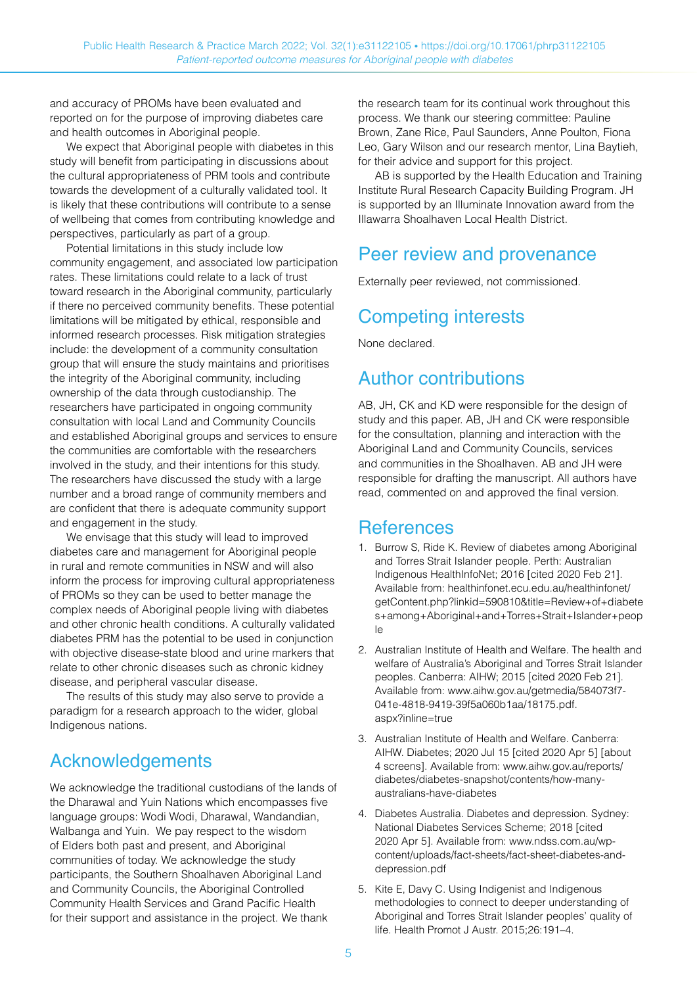and accuracy of PROMs have been evaluated and reported on for the purpose of improving diabetes care and health outcomes in Aboriginal people.

We expect that Aboriginal people with diabetes in this study will benefit from participating in discussions about the cultural appropriateness of PRM tools and contribute towards the development of a culturally validated tool. It is likely that these contributions will contribute to a sense of wellbeing that comes from contributing knowledge and perspectives, particularly as part of a group.

Potential limitations in this study include low community engagement, and associated low participation rates. These limitations could relate to a lack of trust toward research in the Aboriginal community, particularly if there no perceived community benefits. These potential limitations will be mitigated by ethical, responsible and informed research processes. Risk mitigation strategies include: the development of a community consultation group that will ensure the study maintains and prioritises the integrity of the Aboriginal community, including ownership of the data through custodianship. The researchers have participated in ongoing community consultation with local Land and Community Councils and established Aboriginal groups and services to ensure the communities are comfortable with the researchers involved in the study, and their intentions for this study. The researchers have discussed the study with a large number and a broad range of community members and are confident that there is adequate community support and engagement in the study.

We envisage that this study will lead to improved diabetes care and management for Aboriginal people in rural and remote communities in NSW and will also inform the process for improving cultural appropriateness of PROMs so they can be used to better manage the complex needs of Aboriginal people living with diabetes and other chronic health conditions. A culturally validated diabetes PRM has the potential to be used in conjunction with objective disease-state blood and urine markers that relate to other chronic diseases such as chronic kidney disease, and peripheral vascular disease.

The results of this study may also serve to provide a paradigm for a research approach to the wider, global Indigenous nations.

# Acknowledgements

We acknowledge the traditional custodians of the lands of the Dharawal and Yuin Nations which encompasses five language groups: Wodi Wodi, Dharawal, Wandandian, Walbanga and Yuin. We pay respect to the wisdom of Elders both past and present, and Aboriginal communities of today. We acknowledge the study participants, the Southern Shoalhaven Aboriginal Land and Community Councils, the Aboriginal Controlled Community Health Services and Grand Pacific Health for their support and assistance in the project. We thank

the research team for its continual work throughout this process. We thank our steering committee: Pauline Brown, Zane Rice, Paul Saunders, Anne Poulton, Fiona Leo, Gary Wilson and our research mentor, Lina Baytieh, for their advice and support for this project.

AB is supported by the Health Education and Training Institute Rural Research Capacity Building Program. JH is supported by an Illuminate Innovation award from the Illawarra Shoalhaven Local Health District.

### Peer review and provenance

Externally peer reviewed, not commissioned.

## Competing interests

None declared.

### Author contributions

AB, JH, CK and KD were responsible for the design of study and this paper. AB, JH and CK were responsible for the consultation, planning and interaction with the Aboriginal Land and Community Councils, services and communities in the Shoalhaven. AB and JH were responsible for drafting the manuscript. All authors have read, commented on and approved the final version.

### References

- 1. Burrow S, Ride K. Review of diabetes among Aboriginal and Torres Strait Islander people. Perth: Australian Indigenous HealthInfoNet; 2016 [cited 2020 Feb 21]. Available from: [healthinfonet.ecu.edu.au/healthinfonet/](https://healthinfonet.ecu.edu.au/healthinfonet/getContent.php?linkid=590810&title=Review+of+diabetes+among+Aboriginal+and+Torres+Strait+Islander+people) [getContent.php?linkid=590810&title=Review+of+diabete](https://healthinfonet.ecu.edu.au/healthinfonet/getContent.php?linkid=590810&title=Review+of+diabetes+among+Aboriginal+and+Torres+Strait+Islander+people) [s+among+Aboriginal+and+Torres+Strait+Islander+peop](https://healthinfonet.ecu.edu.au/healthinfonet/getContent.php?linkid=590810&title=Review+of+diabetes+among+Aboriginal+and+Torres+Strait+Islander+people) [le](https://healthinfonet.ecu.edu.au/healthinfonet/getContent.php?linkid=590810&title=Review+of+diabetes+among+Aboriginal+and+Torres+Strait+Islander+people)
- 2. Australian Institute of Health and Welfare. The health and welfare of Australia's Aboriginal and Torres Strait Islander peoples. Canberra: AIHW; 2015 [cited 2020 Feb 21]. Available from: [www.aihw.gov.au/getmedia/584073f7-](http://www.aihw.gov.au/getmedia/584073f7-041e-4818-9419-39f5a060b1aa/18175.pdf.aspx?inline=true) [041e-4818-9419-39f5a060b1aa/18175.pdf.](http://www.aihw.gov.au/getmedia/584073f7-041e-4818-9419-39f5a060b1aa/18175.pdf.aspx?inline=true) [aspx?inline=true](http://www.aihw.gov.au/getmedia/584073f7-041e-4818-9419-39f5a060b1aa/18175.pdf.aspx?inline=true)
- 3. Australian Institute of Health and Welfare. Canberra: AIHW. Diabetes; 2020 Jul 15 [cited 2020 Apr 5] [about 4 screens]. Available from: [www.aihw.gov.au/reports/](http://www.aihw.gov.au/reports/diabetes/diabetes-snapshot/contents/how-many-australians-have-diabetes) [diabetes/diabetes-snapshot/contents/how-many](http://www.aihw.gov.au/reports/diabetes/diabetes-snapshot/contents/how-many-australians-have-diabetes)[australians-have-diabetes](http://www.aihw.gov.au/reports/diabetes/diabetes-snapshot/contents/how-many-australians-have-diabetes)
- 4. Diabetes Australia. Diabetes and depression. Sydney: National Diabetes Services Scheme; 2018 [cited 2020 Apr 5]. Available from: [www.ndss.com.au/wp](http://www.ndss.com.au/wp-content/uploads/fact-sheets/fact-sheet-diabetes-and-depression.pdf)[content/uploads/fact-sheets/fact-sheet-diabetes-and](http://www.ndss.com.au/wp-content/uploads/fact-sheets/fact-sheet-diabetes-and-depression.pdf)[depression.pdf](http://www.ndss.com.au/wp-content/uploads/fact-sheets/fact-sheet-diabetes-and-depression.pdf)
- 5. Kite E, Davy C. Using Indigenist and Indigenous methodologies to connect to deeper understanding of Aboriginal and Torres Strait Islander peoples' quality of life. Health Promot J Austr. 2015;26:191–4.